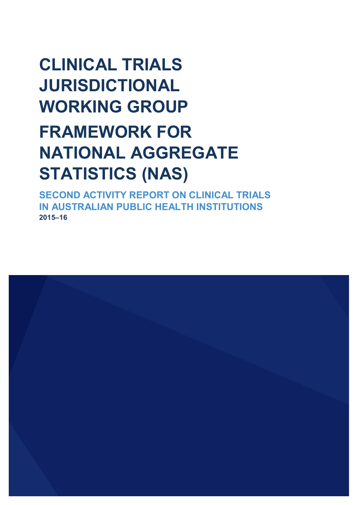# **CLINICAL TRIALS JURISDICTIONAL WORKING GROUP FRAMEWORK FOR NATIONAL AGGREGATE STATISTICS (NAS)**

**SECOND ACTIVITY REPORT ON CLINICAL TRIALS IN AUSTRALIAN PUBLIC HEALTH INSTITUTIONS 2015–16** 

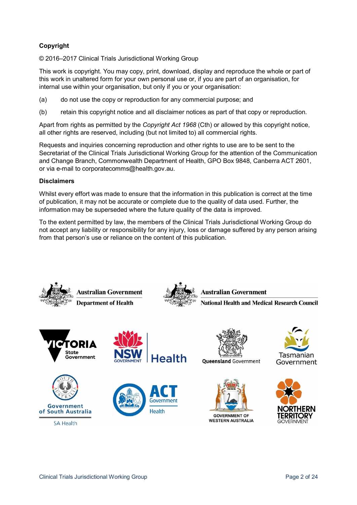### **Copyright**

© 2016–2017 Clinical Trials Jurisdictional Working Group

This work is copyright. You may copy, print, download, display and reproduce the whole or part of this work in unaltered form for your own personal use or, if you are part of an organisation, for internal use within your organisation, but only if you or your organisation:

- (a) do not use the copy or reproduction for any commercial purpose; and
- (b) retain this copyright notice and all disclaimer notices as part of that copy or reproduction.

Apart from rights as permitted by the *Copyright Act 1968* (Cth) or allowed by this copyright notice, all other rights are reserved, including (but not limited to) all commercial rights.

Requests and inquiries concerning reproduction and other rights to use are to be sent to the Secretariat of the Clinical Trials Jurisdictional Working Group for the attention of the Communication and Change Branch, Commonwealth Department of Health, GPO Box 9848, Canberra ACT 2601, or via e-mail to corporatecomms@health.gov.au.

#### **Disclaimers**

Whilst every effort was made to ensure that the information in this publication is correct at the time of publication, it may not be accurate or complete due to the quality of data used. Further, the information may be superseded where the future quality of the data is improved.

To the extent permitted by law, the members of the Clinical Trials Jurisdictional Working Group do not accept any liability or responsibility for any injury, loss or damage suffered by any person arising from that person's use or reliance on the content of this publication.







**SA Health** 







**Queensland Government** 





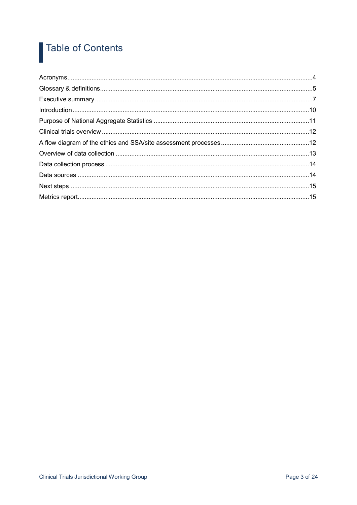#### **Table of Contents** 1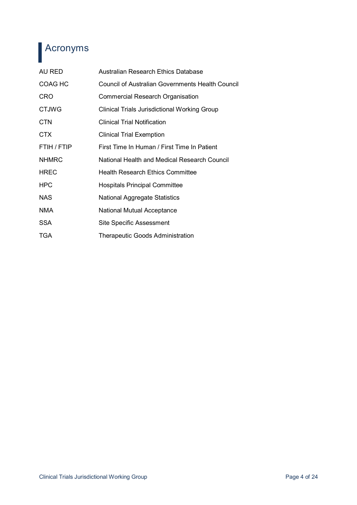## Acronyms

| AU RED         | Australian Research Ethics Database                 |
|----------------|-----------------------------------------------------|
| <b>COAG HC</b> | Council of Australian Governments Health Council    |
| <b>CRO</b>     | Commercial Research Organisation                    |
| <b>CTJWG</b>   | <b>Clinical Trials Jurisdictional Working Group</b> |
| <b>CTN</b>     | <b>Clinical Trial Notification</b>                  |
| CTX            | <b>Clinical Trial Exemption</b>                     |
| FTIH / FTIP    | First Time In Human / First Time In Patient         |
| <b>NHMRC</b>   | National Health and Medical Research Council        |
| <b>HREC</b>    | <b>Health Research Ethics Committee</b>             |
| <b>HPC</b>     | <b>Hospitals Principal Committee</b>                |
| <b>NAS</b>     | <b>National Aggregate Statistics</b>                |
| <b>NMA</b>     | <b>National Mutual Acceptance</b>                   |
| SSA            | <b>Site Specific Assessment</b>                     |
| <b>TGA</b>     | <b>Therapeutic Goods Administration</b>             |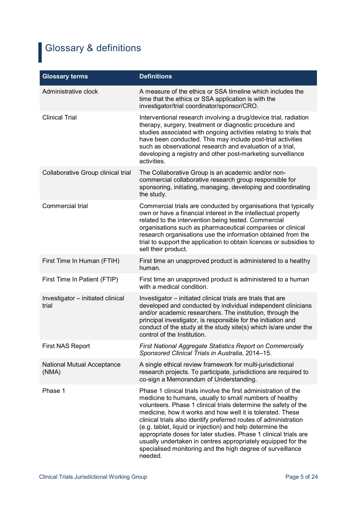# **Glossary & definitions**

| <b>Glossary terms</b>                      | <b>Definitions</b>                                                                                                                                                                                                                                                                                                                                                                                                                                                                                                                                                                                        |
|--------------------------------------------|-----------------------------------------------------------------------------------------------------------------------------------------------------------------------------------------------------------------------------------------------------------------------------------------------------------------------------------------------------------------------------------------------------------------------------------------------------------------------------------------------------------------------------------------------------------------------------------------------------------|
| Administrative clock                       | A measure of the ethics or SSA timeline which includes the<br>time that the ethics or SSA application is with the<br>investigator/trial coordinator/sponsor/CRO.                                                                                                                                                                                                                                                                                                                                                                                                                                          |
| <b>Clinical Trial</b>                      | Interventional research involving a drug/device trial, radiation<br>therapy, surgery, treatment or diagnostic procedure and<br>studies associated with ongoing activities relating to trials that<br>have been conducted. This may include post-trial activities<br>such as observational research and evaluation of a trial,<br>developing a registry and other post-marketing surveillance<br>activities.                                                                                                                                                                                               |
| Collaborative Group clinical trial         | The Collaborative Group is an academic and/or non-<br>commercial collaborative research group responsible for<br>sponsoring, initiating, managing, developing and coordinating<br>the study.                                                                                                                                                                                                                                                                                                                                                                                                              |
| Commercial trial                           | Commercial trials are conducted by organisations that typically<br>own or have a financial interest in the intellectual property<br>related to the intervention being tested. Commercial<br>organisations such as pharmaceutical companies or clinical<br>research organisations use the information obtained from the<br>trial to support the application to obtain licences or subsidies to<br>sell their product.                                                                                                                                                                                      |
| First Time In Human (FTIH)                 | First time an unapproved product is administered to a healthy<br>human.                                                                                                                                                                                                                                                                                                                                                                                                                                                                                                                                   |
| First Time In Patient (FTIP)               | First time an unapproved product is administered to a human<br>with a medical condition.                                                                                                                                                                                                                                                                                                                                                                                                                                                                                                                  |
| Investigator - initiated clinical<br>trial | Investigator - initiated clinical trials are trials that are<br>developed and conducted by individual independent clinicians<br>and/or academic researchers. The institution, through the<br>principal investigator, is responsible for the initiation and<br>conduct of the study at the study site(s) which is/are under the<br>control of the Institution.                                                                                                                                                                                                                                             |
| <b>First NAS Report</b>                    | First National Aggregate Statistics Report on Commercially<br>Sponsored Clinical Trials in Australia, 2014-15.                                                                                                                                                                                                                                                                                                                                                                                                                                                                                            |
| National Mutual Acceptance<br>(NMA)        | A single ethical review framework for multi-jurisdictional<br>research projects. To participate, jurisdictions are required to<br>co-sign a Memorandum of Understanding.                                                                                                                                                                                                                                                                                                                                                                                                                                  |
| Phase 1                                    | Phase 1 clinical trials involve the first administration of the<br>medicine to humans, usually to small numbers of healthy<br>volunteers. Phase 1 clinical trials determine the safety of the<br>medicine, how it works and how well it is tolerated. These<br>clinical trials also identify preferred routes of administration<br>(e.g. tablet, liquid or injection) and help determine the<br>appropriate doses for later studies. Phase 1 clinical trials are<br>usually undertaken in centres appropriately equipped for the<br>specialised monitoring and the high degree of surveillance<br>needed. |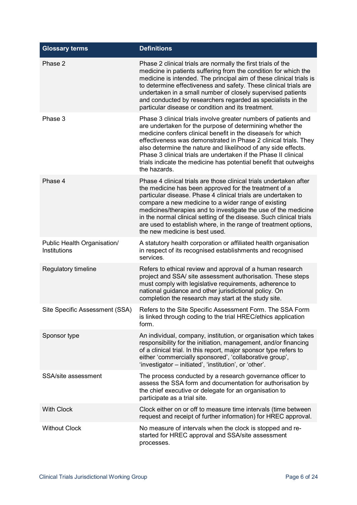| <b>Glossary terms</b>                       | <b>Definitions</b>                                                                                                                                                                                                                                                                                                                                                                                                                                                                                |
|---------------------------------------------|---------------------------------------------------------------------------------------------------------------------------------------------------------------------------------------------------------------------------------------------------------------------------------------------------------------------------------------------------------------------------------------------------------------------------------------------------------------------------------------------------|
| Phase 2                                     | Phase 2 clinical trials are normally the first trials of the<br>medicine in patients suffering from the condition for which the<br>medicine is intended. The principal aim of these clinical trials is<br>to determine effectiveness and safety. These clinical trials are<br>undertaken in a small number of closely supervised patients<br>and conducted by researchers regarded as specialists in the<br>particular disease or condition and its treatment.                                    |
| Phase 3                                     | Phase 3 clinical trials involve greater numbers of patients and<br>are undertaken for the purpose of determining whether the<br>medicine confers clinical benefit in the disease/s for which<br>effectiveness was demonstrated in Phase 2 clinical trials. They<br>also determine the nature and likelihood of any side effects.<br>Phase 3 clinical trials are undertaken if the Phase II clinical<br>trials indicate the medicine has potential benefit that outweighs<br>the hazards.          |
| Phase 4                                     | Phase 4 clinical trials are those clinical trials undertaken after<br>the medicine has been approved for the treatment of a<br>particular disease. Phase 4 clinical trials are undertaken to<br>compare a new medicine to a wider range of existing<br>medicines/therapies and to investigate the use of the medicine<br>in the normal clinical setting of the disease. Such clinical trials<br>are used to establish where, in the range of treatment options,<br>the new medicine is best used. |
| Public Health Organisation/<br>Institutions | A statutory health corporation or affiliated health organisation<br>in respect of its recognised establishments and recognised<br>services.                                                                                                                                                                                                                                                                                                                                                       |
| Regulatory timeline                         | Refers to ethical review and approval of a human research<br>project and SSA/ site assessment authorisation. These steps<br>must comply with legislative requirements, adherence to<br>national guidance and other jurisdictional policy. On<br>completion the research may start at the study site.                                                                                                                                                                                              |
| Site Specific Assessment (SSA)              | Refers to the Site Specific Assessment Form. The SSA Form<br>is linked through coding to the trial HREC/ethics application<br>form.                                                                                                                                                                                                                                                                                                                                                               |
| Sponsor type                                | An individual, company, institution, or organisation which takes<br>responsibility for the initiation, management, and/or financing<br>of a clinical trial. In this report, major sponsor type refers to<br>either 'commercially sponsored', 'collaborative group',<br>'investigator - initiated', 'institution', or 'other'.                                                                                                                                                                     |
| SSA/site assessment                         | The process conducted by a research governance officer to<br>assess the SSA form and documentation for authorisation by<br>the chief executive or delegate for an organisation to<br>participate as a trial site.                                                                                                                                                                                                                                                                                 |
| <b>With Clock</b>                           | Clock either on or off to measure time intervals (time between<br>request and receipt of further information) for HREC approval.                                                                                                                                                                                                                                                                                                                                                                  |
| <b>Without Clock</b>                        | No measure of intervals when the clock is stopped and re-<br>started for HREC approval and SSA/site assessment<br>processes.                                                                                                                                                                                                                                                                                                                                                                      |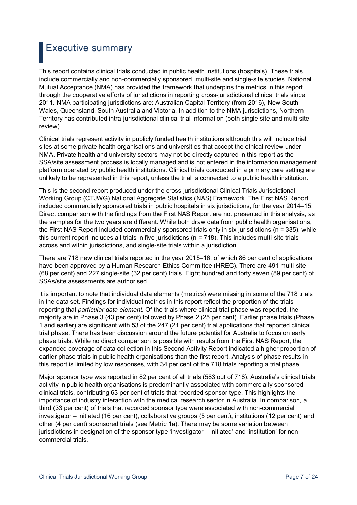### Executive summary

This report contains clinical trials conducted in public health institutions (hospitals). These trials include commercially and non-commercially sponsored, multi-site and single-site studies. National Mutual Acceptance (NMA) has provided the framework that underpins the metrics in this report through the cooperative efforts of jurisdictions in reporting cross-jurisdictional clinical trials since 2011. NMA participating jurisdictions are: Australian Capital Territory (from 2016), New South Wales, Queensland, South Australia and Victoria. In addition to the NMA jurisdictions, Northern Territory has contributed intra-jurisdictional clinical trial information (both single-site and multi-site review).

Clinical trials represent activity in publicly funded health institutions although this will include trial sites at some private health organisations and universities that accept the ethical review under NMA. Private health and university sectors may not be directly captured in this report as the SSA/site assessment process is locally managed and is not entered in the information management platform operated by public health institutions. Clinical trials conducted in a primary care setting are unlikely to be represented in this report, unless the trial is connected to a public health institution.

This is the second report produced under the cross-jurisdictional Clinical Trials Jurisdictional Working Group (CTJWG) National Aggregate Statistics (NAS) Framework. The First NAS Report included commercially sponsored trials in public hospitals in six jurisdictions, for the year 2014–15. Direct comparison with the findings from the First NAS Report are not presented in this analysis, as the samples for the two years are different. While both draw data from public health organisations, the First NAS Report included commercially sponsored trials only in six jurisdictions (n = 335), while this current report includes all trials in five jurisdictions ( $n = 718$ ). This includes multi-site trials across and within jurisdictions, and single-site trials within a jurisdiction.

There are 718 new clinical trials reported in the year 2015–16, of which 86 per cent of applications have been approved by a Human Research Ethics Committee (HREC). There are 491 multi-site (68 per cent) and 227 single-site (32 per cent) trials. Eight hundred and forty seven (89 per cent) of SSAs/site assessments are authorised.

It is important to note that individual data elements (metrics) were missing in some of the 718 trials in the data set. Findings for individual metrics in this report reflect the proportion of the trials reporting that *particular data element*. Of the trials where clinical trial phase was reported, the majority are in Phase 3 (43 per cent) followed by Phase 2 (25 per cent). Earlier phase trials (Phase 1 and earlier) are significant with 53 of the 247 (21 per cent) trial applications that reported clinical trial phase. There has been discussion around the future potential for Australia to focus on early phase trials. While no direct comparison is possible with results from the First NAS Report, the expanded coverage of data collection in this Second Activity Report indicated a higher proportion of earlier phase trials in public health organisations than the first report. Analysis of phase results in this report is limited by low responses, with 34 per cent of the 718 trials reporting a trial phase.

Major sponsor type was reported in 82 per cent of all trials (583 out of 718). Australia's clinical trials activity in public health organisations is predominantly associated with commercially sponsored clinical trials, contributing 63 per cent of trials that recorded sponsor type. This highlights the importance of industry interaction with the medical research sector in Australia. In comparison, a third (33 per cent) of trials that recorded sponsor type were associated with non-commercial investigator – initiated (16 per cent), collaborative groups (5 per cent), institutions (12 per cent) and other (4 per cent) sponsored trials (see Metric 1a). There may be some variation between jurisdictions in designation of the sponsor type 'investigator – initiated' and 'institution' for noncommercial trials.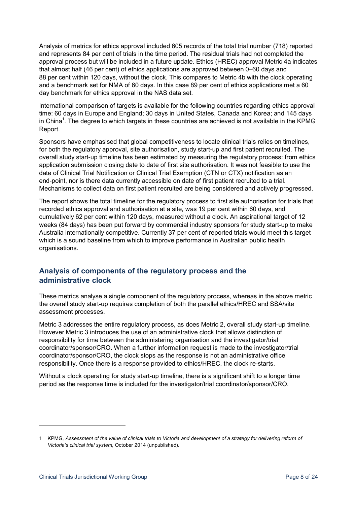Analysis of metrics for ethics approval included 605 records of the total trial number (718) reported and represents 84 per cent of trials in the time period. The residual trials had not completed the approval process but will be included in a future update. Ethics (HREC) approval Metric 4a indicates that almost half (46 per cent) of ethics applications are approved between 0–60 days and 88 per cent within 120 days, without the clock. This compares to Metric 4b with the clock operating and a benchmark set for NMA of 60 days. In this case 89 per cent of ethics applications met a 60 day benchmark for ethics approval in the NAS data set.

International comparison of targets is available for the following countries regarding ethics approval time: 60 days in Europe and England; 30 days in United States, Canada and Korea; and 145 days in China<sup>1</sup>. The degree to which targets in these countries are achieved is not available in the KPMG Report.

Sponsors have emphasised that global competitiveness to locate clinical trials relies on timelines, for both the regulatory approval, site authorisation, study start-up and first patient recruited. The overall study start-up timeline has been estimated by measuring the regulatory process: from ethics application submission closing date to date of first site authorisation. It was not feasible to use the date of Clinical Trial Notification or Clinical Trial Exemption (CTN or CTX) notification as an end-point, nor is there data currently accessible on date of first patient recruited to a trial. Mechanisms to collect data on first patient recruited are being considered and actively progressed.

The report shows the total timeline for the regulatory process to first site authorisation for trials that recorded ethics approval and authorisation at a site, was 19 per cent within 60 days, and cumulatively 62 per cent within 120 days, measured without a clock. An aspirational target of 12 weeks (84 days) has been put forward by commercial industry sponsors for study start-up to make Australia internationally competitive. Currently 37 per cent of reported trials would meet this target which is a sound baseline from which to improve performance in Australian public health organisations.

### **Analysis of components of the regulatory process and the administrative clock**

These metrics analyse a single component of the regulatory process, whereas in the above metric the overall study start-up requires completion of both the parallel ethics/HREC and SSA/site assessment processes.

Metric 3 addresses the entire regulatory process, as does Metric 2, overall study start-up timeline. However Metric 3 introduces the use of an administrative clock that allows distinction of responsibility for time between the administering organisation and the investigator/trial coordinator/sponsor/CRO. When a further information request is made to the investigator/trial coordinator/sponsor/CRO, the clock stops as the response is not an administrative office responsibility. Once there is a response provided to ethics/HREC, the clock re-starts.

Without a clock operating for study start-up timeline, there is a significant shift to a longer time period as the response time is included for the investigator/trial coordinator/sponsor/CRO.

1

<sup>1</sup> KPMG, *Assessment of the value of clinical trials to Victoria and development of a strategy for delivering reform of Victoria's clinical trial system,* October 2014 (unpublished).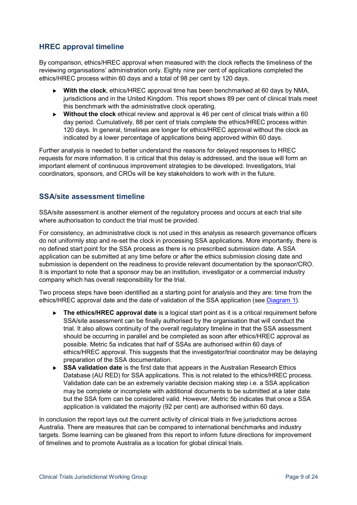### **HREC approval timeline**

By comparison, ethics/HREC approval when measured with the clock reflects the timeliness of the reviewing organisations' administration only. Eighty nine per cent of applications completed the ethics/HREC process within 60 days and a total of 98 per cent by 120 days.

- **With the clock**, ethics/HREC approval time has been benchmarked at 60 days by NMA, jurisdictions and in the United Kingdom. This report shows 89 per cent of clinical trials meet this benchmark with the administrative clock operating.
- **Without the clock** ethical review and approval is 46 per cent of clinical trials within a 60 day period. Cumulatively, 88 per cent of trials complete the ethics/HREC process within 120 days. In general, timelines are longer for ethics/HREC approval without the clock as indicated by a lower percentage of applications being approved within 60 days.

Further analysis is needed to better understand the reasons for delayed responses to HREC requests for more information. It is critical that this delay is addressed, and the issue will form an important element of continuous improvement strategies to be developed. Investigators, trial coordinators, sponsors, and CROs will be key stakeholders to work with in the future.

### **SSA/site assessment timeline**

SSA/site assessment is another element of the regulatory process and occurs at each trial site where authorisation to conduct the trial must be provided.

For consistency, an administrative clock is not used in this analysis as research governance officers do not uniformly stop and re-set the clock in processing SSA applications. More importantly, there is no defined start point for the SSA process as there is no prescribed submission date. A SSA application can be submitted at any time before or after the ethics submission closing date and submission is dependent on the readiness to provide relevant documentation by the sponsor/CRO. It is important to note that a sponsor may be an institution, investigator or a commercial industry company which has overall responsibility for the trial.

Two process steps have been identified as a starting point for analysis and they are: time from the ethics/HREC approval date and the date of validation of the SSA application (see Diagram 1).

- ▶ The ethics/HREC approval date is a logical start point as it is a critical requirement before SSA/site assessment can be finally authorised by the organisation that will conduct the trial. It also allows continuity of the overall regulatory timeline in that the SSA assessment should be occurring in parallel and be completed as soon after ethics/HREC approval as possible. Metric 5a indicates that half of SSAs are authorised within 60 days of ethics/HREC approval. This suggests that the investigator/trial coordinator may be delaying preparation of the SSA documentation.
- **SSA validation date** is the first date that appears in the Australian Research Ethics Database (AU RED) for SSA applications. This is not related to the ethics/HREC process. Validation date can be an extremely variable decision making step i.e. a SSA application may be complete or incomplete with additional documents to be submitted at a later date but the SSA form can be considered valid. However, Metric 5b indicates that once a SSA application is validated the majority (92 per cent) are authorised within 60 days.

In conclusion the report lays out the current activity of clinical trials in five jurisdictions across Australia. There are measures that can be compared to international benchmarks and industry targets. Some learning can be gleaned from this report to inform future directions for improvement of timelines and to promote Australia as a location for global clinical trials.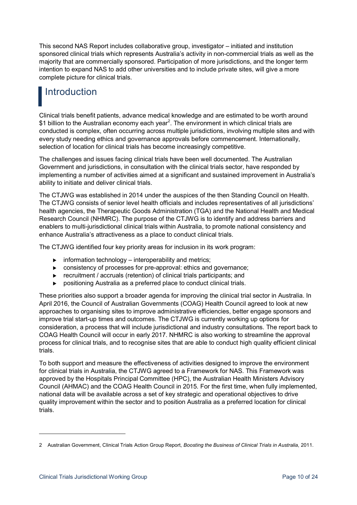This second NAS Report includes collaborative group, investigator – initiated and institution sponsored clinical trials which represents Australia's activity in non-commercial trials as well as the majority that are commercially sponsored. Participation of more jurisdictions, and the longer term intention to expand NAS to add other universities and to include private sites, will give a more complete picture for clinical trials.

### **Introduction**

Clinical trials benefit patients, advance medical knowledge and are estimated to be worth around \$1 billion to the Australian economy each year<sup>2</sup>. The environment in which clinical trials are conducted is complex, often occurring across multiple jurisdictions, involving multiple sites and with every study needing ethics and governance approvals before commencement. Internationally, selection of location for clinical trials has become increasingly competitive.

The challenges and issues facing clinical trials have been well documented. The Australian Government and jurisdictions, in consultation with the clinical trials sector, have responded by implementing a number of activities aimed at a significant and sustained improvement in Australia's ability to initiate and deliver clinical trials.

The CTJWG was established in 2014 under the auspices of the then Standing Council on Health. The CTJWG consists of senior level health officials and includes representatives of all jurisdictions' health agencies, the Therapeutic Goods Administration (TGA) and the National Health and Medical Research Council (NHMRC). The purpose of the CTJWG is to identify and address barriers and enablers to multi-jurisdictional clinical trials within Australia, to promote national consistency and enhance Australia's attractiveness as a place to conduct clinical trials.

The CTJWG identified four key priority areas for inclusion in its work program:

- $\triangleright$  information technology interoperability and metrics;
- consistency of processes for pre-approval: ethics and governance;
- recruitment / accruals (retention) of clinical trials participants; and
- positioning Australia as a preferred place to conduct clinical trials.

These priorities also support a broader agenda for improving the clinical trial sector in Australia. In April 2016, the Council of Australian Governments (COAG) Health Council agreed to look at new approaches to organising sites to improve administrative efficiencies, better engage sponsors and improve trial start-up times and outcomes. The CTJWG is currently working up options for consideration, a process that will include jurisdictional and industry consultations. The report back to COAG Health Council will occur in early 2017. NHMRC is also working to streamline the approval process for clinical trials, and to recognise sites that are able to conduct high quality efficient clinical trials.

To both support and measure the effectiveness of activities designed to improve the environment for clinical trials in Australia, the CTJWG agreed to a Framework for NAS. This Framework was approved by the Hospitals Principal Committee (HPC), the Australian Health Ministers Advisory Council (AHMAC) and the COAG Health Council in 2015. For the first time, when fully implemented, national data will be available across a set of key strategic and operational objectives to drive quality improvement within the sector and to position Australia as a preferred location for clinical trials.

1

<sup>2</sup> Australian Government, Clinical Trials Action Group Report, *Boosting the Business of Clinical Trials in Australia*, 2011.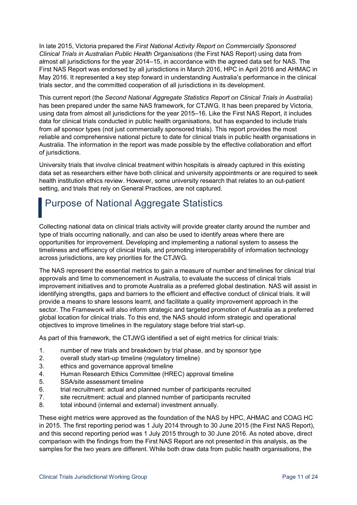In late 2015, Victoria prepared the *First National Activity Report on Commercially Sponsored Clinical Trials in Australian Public Health Organisations* (the First NAS Report) using data from almost all jurisdictions for the year 2014–15, in accordance with the agreed data set for NAS. The First NAS Report was endorsed by all jurisdictions in March 2016, HPC in April 2016 and AHMAC in May 2016. It represented a key step forward in understanding Australia's performance in the clinical trials sector, and the committed cooperation of all jurisdictions in its development.

This current report (the *Second National Aggregate Statistics Report on Clinical Trials in Australia*) has been prepared under the same NAS framework, for CTJWG. It has been prepared by Victoria, using data from almost all jurisdictions for the year 2015–16. Like the First NAS Report, it includes data for clinical trials conducted in public health organisations, but has expanded to include trials from *all* sponsor types (not just commercially sponsored trials). This report provides the most reliable and comprehensive national picture to date for clinical trials in public health organisations in Australia. The information in the report was made possible by the effective collaboration and effort of jurisdictions.

University trials that involve clinical treatment within hospitals is already captured in this existing data set as researchers either have both clinical and university appointments or are required to seek health institution ethics review. However, some university research that relates to an out-patient setting, and trials that rely on General Practices, are not captured.

# Purpose of National Aggregate Statistics

Collecting national data on clinical trials activity will provide greater clarity around the number and type of trials occurring nationally, and can also be used to identify areas where there are opportunities for improvement. Developing and implementing a national system to assess the timeliness and efficiency of clinical trials, and promoting interoperability of information technology across jurisdictions, are key priorities for the CTJWG.

The NAS represent the essential metrics to gain a measure of number and timelines for clinical trial approvals and time to commencement in Australia, to evaluate the success of clinical trials improvement initiatives and to promote Australia as a preferred global destination. NAS will assist in identifying strengths, gaps and barriers to the efficient and effective conduct of clinical trials. It will provide a means to share lessons learnt, and facilitate a quality improvement approach in the sector. The Framework will also inform strategic and targeted promotion of Australia as a preferred global location for clinical trials. To this end, the NAS should inform strategic and operational objectives to improve timelines in the regulatory stage before trial start-up.

As part of this framework, the CTJWG identified a set of eight metrics for clinical trials:

- 1. number of new trials and breakdown by trial phase, and by sponsor type
- 2. overall study start-up timeline (regulatory timeline)
- 3. ethics and governance approval timeline
- 4. Human Research Ethics Committee (HREC) approval timeline
- 5. SSA/site assessment timeline
- 6. trial recruitment: actual and planned number of participants recruited
- 7. site recruitment: actual and planned number of participants recruited
- 8. total inbound (internal and external) investment annually.

These eight metrics were approved as the foundation of the NAS by HPC, AHMAC and COAG HC in 2015. The first reporting period was 1 July 2014 through to 30 June 2015 (the First NAS Report), and this second reporting period was 1 July 2015 through to 30 June 2016. As noted above, direct comparison with the findings from the First NAS Report are not presented in this analysis, as the samples for the two years are different. While both draw data from public health organisations, the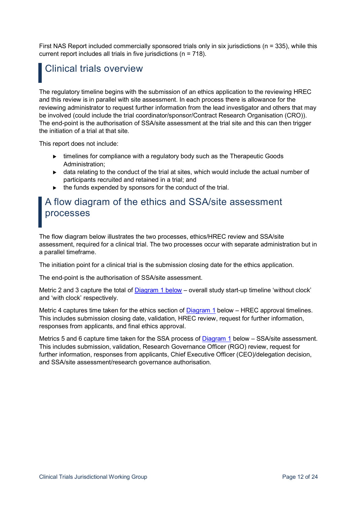First NAS Report included commercially sponsored trials only in six jurisdictions (n = 335), while this current report includes all trials in five jurisdictions (n = 718).

## Clinical trials overview

The regulatory timeline begins with the submission of an ethics application to the reviewing HREC and this review is in parallel with site assessment. In each process there is allowance for the reviewing administrator to request further information from the lead investigator and others that may be involved (could include the trial coordinator/sponsor/Contract Research Organisation (CRO)). The end-point is the authorisation of SSA/site assessment at the trial site and this can then trigger the initiation of a trial at that site.

This report does not include:

- ► timelines for compliance with a regulatory body such as the Therapeutic Goods Administration;
- data relating to the conduct of the trial at sites, which would include the actual number of participants recruited and retained in a trial; and
- $\blacktriangleright$  the funds expended by sponsors for the conduct of the trial.

### A flow diagram of the ethics and SSA/site assessment processes

The flow diagram below illustrates the two processes, ethics/HREC review and SSA/site assessment, required for a clinical trial. The two processes occur with separate administration but in a parallel timeframe.

The initiation point for a clinical trial is the submission closing date for the ethics application.

The end-point is the authorisation of SSA/site assessment.

Metric 2 and 3 capture the total of Diagram 1 below – overall study start-up timeline 'without clock' and 'with clock' respectively.

Metric 4 captures time taken for the ethics section of  $Diagram 1$  below  $-$  HREC approval timelines. This includes submission closing date, validation, HREC review, request for further information, responses from applicants, and final ethics approval.

Metrics 5 and 6 capture time taken for the SSA process of Diagram 1 below – SSA/site assessment. This includes submission, validation, Research Governance Officer (RGO) review, request for further information, responses from applicants, Chief Executive Officer (CEO)/delegation decision, and SSA/site assessment/research governance authorisation.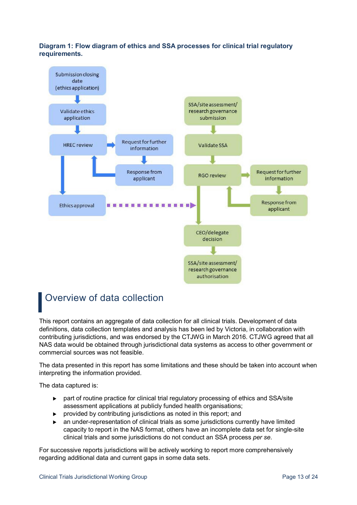#### **Diagram 1: Flow diagram of ethics and SSA processes for clinical trial regulatory requirements.**



# Overview of data collection

This report contains an aggregate of data collection for all clinical trials. Development of data definitions, data collection templates and analysis has been led by Victoria, in collaboration with contributing jurisdictions, and was endorsed by the CTJWG in March 2016. CTJWG agreed that all NAS data would be obtained through jurisdictional data systems as access to other government or commercial sources was not feasible.

The data presented in this report has some limitations and these should be taken into account when interpreting the information provided.

The data captured is:

- part of routine practice for clinical trial regulatory processing of ethics and SSA/site assessment applications at publicly funded health organisations;
- provided by contributing jurisdictions as noted in this report; and
- an under-representation of clinical trials as some jurisdictions currently have limited capacity to report in the NAS format, others have an incomplete data set for single-site clinical trials and some jurisdictions do not conduct an SSA process *per se*.

For successive reports jurisdictions will be actively working to report more comprehensively regarding additional data and current gaps in some data sets.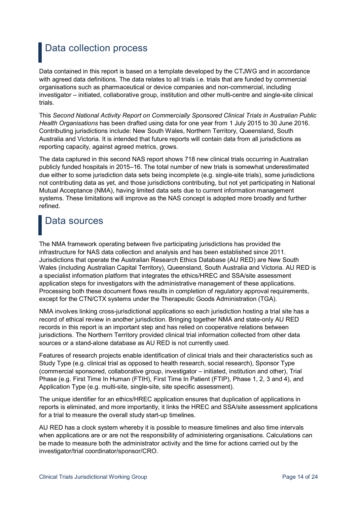### Data collection process

Data contained in this report is based on a template developed by the CTJWG and in accordance with agreed data definitions. The data relates to all trials i.e. trials that are funded by commercial organisations such as pharmaceutical or device companies and non-commercial, including investigator – initiated, collaborative group, institution and other multi-centre and single-site clinical trials.

This *Second National Activity Report on Commercially Sponsored Clinical Trials in Australian Public Health Organisations* has been drafted using data for one year from 1 July 2015 to 30 June 2016. Contributing jurisdictions include: New South Wales, Northern Territory, Queensland, South Australia and Victoria. It is intended that future reports will contain data from all jurisdictions as reporting capacity, against agreed metrics, grows.

The data captured in this second NAS report shows 718 new clinical trials occurring in Australian publicly funded hospitals in 2015–16. The total number of new trials is somewhat underestimated due either to some jurisdiction data sets being incomplete (e.g. single-site trials), some jurisdictions not contributing data as yet, and those jurisdictions contributing, but not yet participating in National Mutual Acceptance (NMA), having limited data sets due to current information management systems. These limitations will improve as the NAS concept is adopted more broadly and further refined.

# Data sources

The NMA framework operating between five participating jurisdictions has provided the infrastructure for NAS data collection and analysis and has been established since 2011. Jurisdictions that operate the Australian Research Ethics Database (AU RED) are New South Wales (including Australian Capital Territory), Queensland, South Australia and Victoria. AU RED is a specialist information platform that integrates the ethics/HREC and SSA/site assessment application steps for investigators with the administrative management of these applications. Processing both these document flows results in completion of regulatory approval requirements, except for the CTN/CTX systems under the Therapeutic Goods Administration (TGA).

NMA involves linking cross-jurisdictional applications so each jurisdiction hosting a trial site has a record of ethical review in another jurisdiction. Bringing together NMA and state-only AU RED records in this report is an important step and has relied on cooperative relations between jurisdictions. The Northern Territory provided clinical trial information collected from other data sources or a stand-alone database as AU RED is not currently used.

Features of research projects enable identification of clinical trials and their characteristics such as Study Type (e.g. clinical trial as opposed to health research, social research), Sponsor Type (commercial sponsored, collaborative group, investigator – initiated, institution and other), Trial Phase (e.g. First Time In Human (FTIH), First Time In Patient (FTIP), Phase 1, 2, 3 and 4), and Application Type (e.g. multi-site, single-site, site specific assessment).

The unique identifier for an ethics/HREC application ensures that duplication of applications in reports is eliminated, and more importantly, it links the HREC and SSA/site assessment applications for a trial to measure the overall study start-up timelines.

AU RED has a clock system whereby it is possible to measure timelines and also time intervals when applications are or are not the responsibility of administering organisations. Calculations can be made to measure both the administrator activity and the time for actions carried out by the investigator/trial coordinator/sponsor/CRO.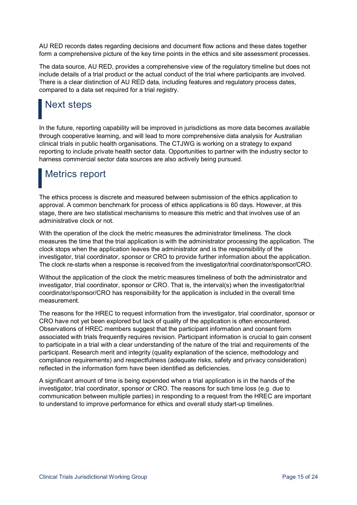AU RED records dates regarding decisions and document flow actions and these dates together form a comprehensive picture of the key time points in the ethics and site assessment processes.

The data source, AU RED, provides a comprehensive view of the regulatory timeline but does not include details of a trial product or the actual conduct of the trial where participants are involved. There is a clear distinction of AU RED data, including features and regulatory process dates, compared to a data set required for a trial registry.

# Next steps

In the future, reporting capability will be improved in jurisdictions as more data becomes available through cooperative learning, and will lead to more comprehensive data analysis for Australian clinical trials in public health organisations. The CTJWG is working on a strategy to expand reporting to include private health sector data. Opportunities to partner with the industry sector to harness commercial sector data sources are also actively being pursued.

### Metrics report

The ethics process is discrete and measured between submission of the ethics application to approval. A common benchmark for process of ethics applications is 60 days. However, at this stage, there are two statistical mechanisms to measure this metric and that involves use of an administrative clock or not.

With the operation of the clock the metric measures the administrator timeliness. The clock measures the time that the trial application is with the administrator processing the application. The clock stops when the application leaves the administrator and is the responsibility of the investigator, trial coordinator, sponsor or CRO to provide further information about the application. The clock re-starts when a response is received from the investigator/trial coordinator/sponsor/CRO.

Without the application of the clock the metric measures timeliness of both the administrator and investigator, trial coordinator, sponsor or CRO. That is, the interval(s) when the investigator/trial coordinator/sponsor/CRO has responsibility for the application is included in the overall time measurement.

The reasons for the HREC to request information from the investigator, trial coordinator, sponsor or CRO have not yet been explored but lack of quality of the application is often encountered. Observations of HREC members suggest that the participant information and consent form associated with trials frequently requires revision. Participant information is crucial to gain consent to participate in a trial with a clear understanding of the nature of the trial and requirements of the participant. Research merit and integrity (quality explanation of the science, methodology and compliance requirements) and respectfulness (adequate risks, safety and privacy consideration) reflected in the information form have been identified as deficiencies.

A significant amount of time is being expended when a trial application is in the hands of the investigator, trial coordinator, sponsor or CRO. The reasons for such time loss (e.g. due to communication between multiple parties) in responding to a request from the HREC are important to understand to improve performance for ethics and overall study start-up timelines.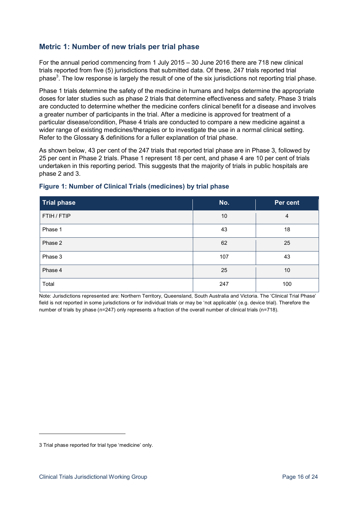### **Metric 1: Number of new trials per trial phase**

For the annual period commencing from 1 July 2015 – 30 June 2016 there are 718 new clinical trials reported from five (5) jurisdictions that submitted data. Of these, 247 trials reported trial phase<sup>3</sup>. The low response is largely the result of one of the six jurisdictions not reporting trial phase.

Phase 1 trials determine the safety of the medicine in humans and helps determine the appropriate doses for later studies such as phase 2 trials that determine effectiveness and safety. Phase 3 trials are conducted to determine whether the medicine confers clinical benefit for a disease and involves a greater number of participants in the trial. After a medicine is approved for treatment of a particular disease/condition, Phase 4 trials are conducted to compare a new medicine against a wider range of existing medicines/therapies or to investigate the use in a normal clinical setting. Refer to the Glossary & definitions for a fuller explanation of trial phase.

As shown below, 43 per cent of the 247 trials that reported trial phase are in Phase 3, followed by 25 per cent in Phase 2 trials. Phase 1 represent 18 per cent, and phase 4 are 10 per cent of trials undertaken in this reporting period. This suggests that the majority of trials in public hospitals are phase 2 and 3.

| <b>Trial phase</b> | No. | Per cent |
|--------------------|-----|----------|
| FTIH / FTIP        | 10  | 4        |
| Phase 1            | 43  | 18       |
| Phase 2            | 62  | 25       |
| Phase 3            | 107 | 43       |
| Phase 4            | 25  | 10       |
| Total              | 247 | 100      |

#### **Figure 1: Number of Clinical Trials (medicines) by trial phase**

Note: Jurisdictions represented are: Northern Territory, Queensland, South Australia and Victoria. The 'Clinical Trial Phase' field is not reported in some jurisdictions or for individual trials or may be 'not applicable' (e.g. device trial). Therefore the number of trials by phase (n=247) only represents a fraction of the overall number of clinical trials (n=718).

1

<sup>3</sup> Trial phase reported for trial type 'medicine' only.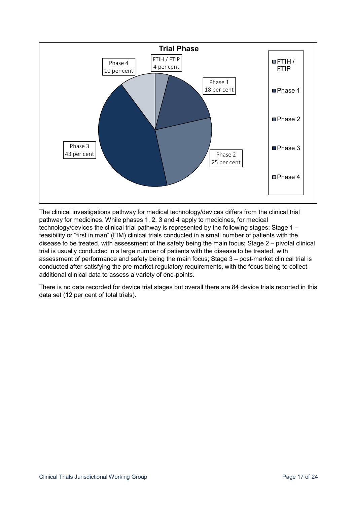

The clinical investigations pathway for medical technology/devices differs from the clinical trial pathway for medicines. While phases 1, 2, 3 and 4 apply to medicines, for medical technology/devices the clinical trial pathway is represented by the following stages: Stage 1 – feasibility or "first in man" (FIM) clinical trials conducted in a small number of patients with the disease to be treated, with assessment of the safety being the main focus; Stage 2 – pivotal clinical trial is usually conducted in a large number of patients with the disease to be treated, with assessment of performance and safety being the main focus; Stage 3 – post-market clinical trial is conducted after satisfying the pre-market regulatory requirements, with the focus being to collect additional clinical data to assess a variety of end-points.

There is no data recorded for device trial stages but overall there are 84 device trials reported in this data set (12 per cent of total trials).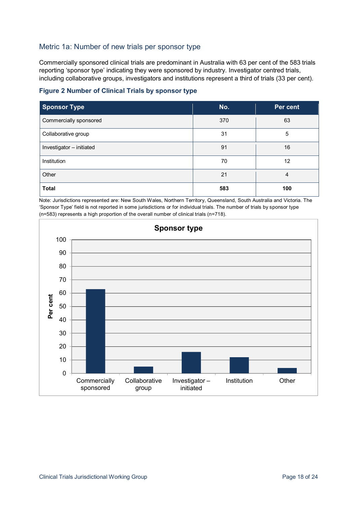### Metric 1a: Number of new trials per sponsor type

Commercially sponsored clinical trials are predominant in Australia with 63 per cent of the 583 trials reporting 'sponsor type' indicating they were sponsored by industry. Investigator centred trials, including collaborative groups, investigators and institutions represent a third of trials (33 per cent).



| <b>Sponsor Type</b>      | No. | Per cent |
|--------------------------|-----|----------|
| Commercially sponsored   | 370 | 63       |
| Collaborative group      | 31  | 5        |
| Investigator - initiated | 91  | 16       |
| Institution              | 70  | 12       |
| Other                    | 21  | 4        |
| <b>Total</b>             | 583 | 100      |

Note: Jurisdictions represented are: New South Wales, Northern Territory, Queensland, South Australia and Victoria. The 'Sponsor Type' field is not reported in some jurisdictions or for individual trials. The number of trials by sponsor type (n=583) represents a high proportion of the overall number of clinical trials (n=718).

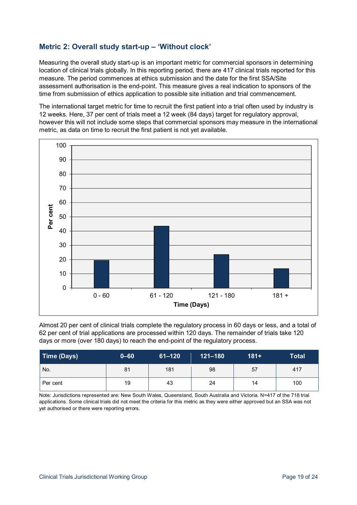### **Metric 2: Overall study start-up – 'Without clock'**

Measuring the overall study start-up is an important metric for commercial sponsors in determining location of clinical trials globally. In this reporting period, there are 417 clinical trials reported for this measure. The period commences at ethics submission and the date for the first SSA/Site assessment authorisation is the end-point. This measure gives a real indication to sponsors of the time from submission of ethics application to possible site initiation and trial commencement.

The international target metric for time to recruit the first patient into a trial often used by industry is 12 weeks. Here, 37 per cent of trials meet a 12 week (84 days) target for regulatory approval, however this will not include some steps that commercial sponsors may measure in the international metric, as data on time to recruit the first patient is not yet available.



Almost 20 per cent of clinical trials complete the regulatory process in 60 days or less, and a total of 62 per cent of trial applications are processed within 120 days. The remainder of trials take 120 days or more (over 180 days) to reach the end-point of the regulatory process.

| <b>Time (Days)</b> | $0 - 60$ | $61 - 120$ | $121 - 180$ | $181+$ | <b>Total</b> |
|--------------------|----------|------------|-------------|--------|--------------|
| No.                | 81       | 181        | 98          | 57     | 417          |
| Per cent           | 19       | 43         | 24          | 14     | 100          |

Note: Jurisdictions represented are: New South Wales, Queensland, South Australia and Victoria. N=417 of the 718 trial applications. Some clinical trials did not meet the criteria for this metric as they were either approved but an SSA was not yet authorised or there were reporting errors.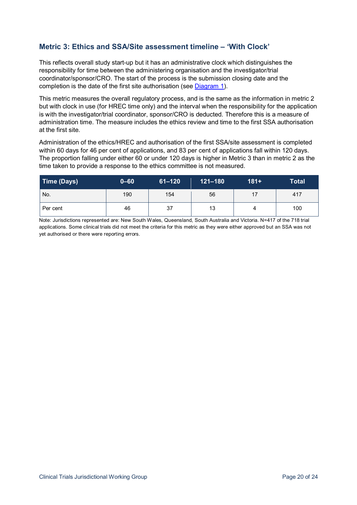### **Metric 3: Ethics and SSA/Site assessment timeline – 'With Clock'**

This reflects overall study start-up but it has an administrative clock which distinguishes the responsibility for time between the administering organisation and the investigator/trial coordinator/sponsor/CRO. The start of the process is the submission closing date and the completion is the date of the first site authorisation (see Diagram 1).

This metric measures the overall regulatory process, and is the same as the information in metric 2 but with clock in use (for HREC time only) and the interval when the responsibility for the application is with the investigator/trial coordinator, sponsor/CRO is deducted. Therefore this is a measure of administration time. The measure includes the ethics review and time to the first SSA authorisation at the first site.

Administration of the ethics/HREC and authorisation of the first SSA/site assessment is completed within 60 days for 46 per cent of applications, and 83 per cent of applications fall within 120 days. The proportion falling under either 60 or under 120 days is higher in Metric 3 than in metric 2 as the time taken to provide a response to the ethics committee is not measured.

| Time (Days) | $0 - 60$ | ا 61–120 | $121 - 180$ | $181+$ | Total |
|-------------|----------|----------|-------------|--------|-------|
| No.         | 190      | 154      | 56          | 17     | 417   |
| Per cent    | 46       | 37       | 13          | 4      | 100   |

Note: Jurisdictions represented are: New South Wales, Queensland, South Australia and Victoria. N=417 of the 718 trial applications. Some clinical trials did not meet the criteria for this metric as they were either approved but an SSA was not yet authorised or there were reporting errors.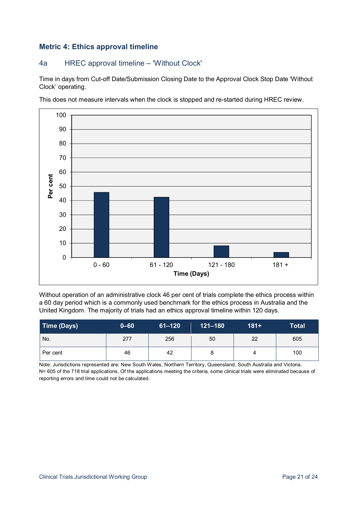### **Metric 4: Ethics approval timeline**

### 4a HREC approval timeline – 'Without Clock'

Time in days from Cut-off Date/Submission Closing Date to the Approval Clock Stop Date 'Without Clock' operating.

This does not measure intervals when the clock is stopped and re-started during HREC review.



Without operation of an administrative clock 46 per cent of trials complete the ethics process within a 60 day period which is a commonly used benchmark for the ethics process in Australia and the United Kingdom. The majority of trials had an ethics approval timeline within 120 days.

| Time (Days) | $0 - 60$ | $61 - 120$ | $121 - 180$ | $181+$ | <b>Total</b> |
|-------------|----------|------------|-------------|--------|--------------|
| No.         | 277      | 256        | 50          | 22     | 605          |
| Per cent    | 46       | 42         | ŏ           | 4      | 100          |

Note: Jurisdictions represented are: New South Wales, Northern Territory, Queensland, South Australia and Victoria. N= 605 of the 718 trial applications. Of the applications meeting the criteria, some clinical trials were eliminated because of reporting errors and time could not be calculated.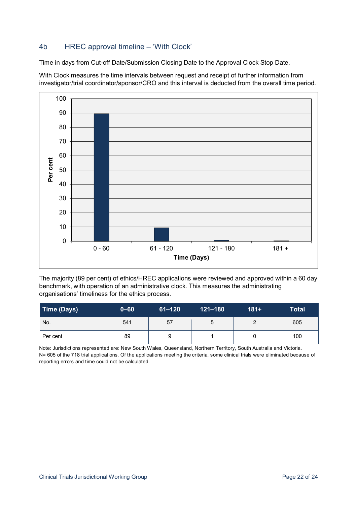### 4b HREC approval timeline – 'With Clock'

Time in days from Cut-off Date/Submission Closing Date to the Approval Clock Stop Date.

With Clock measures the time intervals between request and receipt of further information from investigator/trial coordinator/sponsor/CRO and this interval is deducted from the overall time period.



The majority (89 per cent) of ethics/HREC applications were reviewed and approved within a 60 day benchmark, with operation of an administrative clock. This measures the administrating organisations' timeliness for the ethics process.

| Time (Days) | $0 - 60$ | $61 - 120$ | $121 - 180$ | $181+$ | <b>Total</b> |
|-------------|----------|------------|-------------|--------|--------------|
| No.         | 541      | 57         | ა           | າ      | 605          |
| Per cent    | 89       |            |             |        | 100          |

Note: Jurisdictions represented are: New South Wales, Queensland, Northern Territory, South Australia and Victoria. N= 605 of the 718 trial applications. Of the applications meeting the criteria, some clinical trials were eliminated because of reporting errors and time could not be calculated.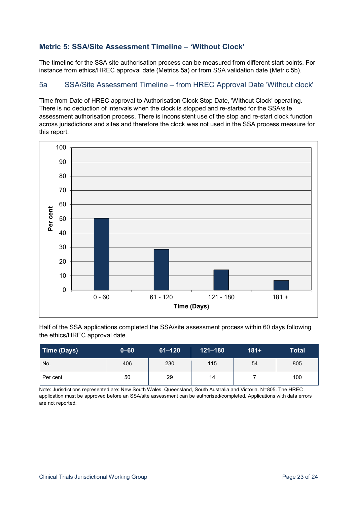### **Metric 5: SSA/Site Assessment Timeline – 'Without Clock'**

The timeline for the SSA site authorisation process can be measured from different start points. For instance from ethics/HREC approval date (Metrics 5a) or from SSA validation date (Metric 5b).

#### 5a SSA/Site Assessment Timeline – from HREC Approval Date 'Without clock'

Time from Date of HREC approval to Authorisation Clock Stop Date, 'Without Clock' operating. There is no deduction of intervals when the clock is stopped and re-started for the SSA/site assessment authorisation process. There is inconsistent use of the stop and re-start clock function across jurisdictions and sites and therefore the clock was not used in the SSA process measure for this report.



Half of the SSA applications completed the SSA/site assessment process within 60 days following the ethics/HREC approval date.

| Time (Days) | $0 - 60$ | $61 - 120$ | $121 - 180$ | $181 +$ | <b>Total</b> |
|-------------|----------|------------|-------------|---------|--------------|
| No.         | 406      | 230        | 115         | 54      | 805          |
| Per cent    | 50       | 29         | 14          |         | 100          |

Note: Jurisdictions represented are: New South Wales, Queensland, South Australia and Victoria. N=805. The HREC application must be approved before an SSA/site assessment can be authorised/completed. Applications with data errors are not reported.